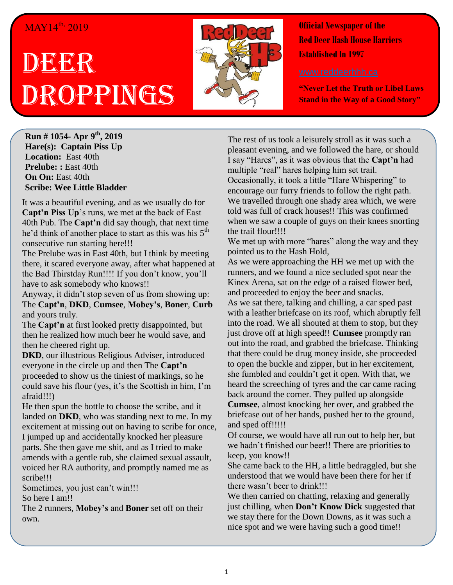## MAY14<sup>th,</sup> 2019

## DEER Droppings



**Official Newspaper of the Red Deer Hash House Harriers Established In 1997** 

**"Never Let the Truth or Libel Laws Stand in the Way of a Good Story"**

**Run # 1054- Apr 9 th, 2019 Hare(s): Captain Piss Up Location:** East 40th **Prelube: :** East 40th **On On:** East 40th **Scribe: Wee Little Bladder**

It was a beautiful evening, and as we usually do for **Capt'n Piss Up**'s runs, we met at the back of East 40th Pub. The **Capt'n** did say though, that next time he'd think of another place to start as this was his  $5<sup>th</sup>$ consecutive run starting here!!!

The Prelube was in East 40th, but I think by meeting there, it scared everyone away, after what happened at the Bad Thirstday Run!!!! If you don't know, you'll have to ask somebody who knows!!

Anyway, it didn't stop seven of us from showing up: The **Capt'n**, **DKD**, **Cumsee**, **Mobey's**, **Boner**, **Curb** and yours truly.

The **Capt'n** at first looked pretty disappointed, but then he realized how much beer he would save, and then he cheered right up.

**DKD**, our illustrious Religious Adviser, introduced everyone in the circle up and then The **Capt'n** proceeded to show us the tiniest of markings, so he could save his flour (yes, it's the Scottish in him, I'm afraid!!!)

He then spun the bottle to choose the scribe, and it landed on **DKD**, who was standing next to me. In my excitement at missing out on having to scribe for once, I jumped up and accidentally knocked her pleasure parts. She then gave me shit, and as I tried to make amends with a gentle rub, she claimed sexual assault, voiced her RA authority, and promptly named me as scribe!!!

Sometimes, you just can't win!!! So here I am!!

The 2 runners, **Mobey's** and **Boner** set off on their own.

The rest of us took a leisurely stroll as it was such a pleasant evening, and we followed the hare, or should I say "Hares", as it was obvious that the **Capt'n** had multiple "real" hares helping him set trail. Occasionally, it took a little "Hare Whispering" to encourage our furry friends to follow the right path. We travelled through one shady area which, we were told was full of crack houses!! This was confirmed when we saw a couple of guys on their knees snorting the trail flour!!!!

We met up with more "hares" along the way and they pointed us to the Hash Hold,

As we were approaching the HH we met up with the runners, and we found a nice secluded spot near the Kinex Arena, sat on the edge of a raised flower bed, and proceeded to enjoy the beer and snacks.

As we sat there, talking and chilling, a car sped past with a leather briefcase on its roof, which abruptly fell into the road. We all shouted at them to stop, but they just drove off at high speed!! **Cumsee** promptly ran out into the road, and grabbed the briefcase. Thinking that there could be drug money inside, she proceeded to open the buckle and zipper, but in her excitement, she fumbled and couldn't get it open. With that, we heard the screeching of tyres and the car came racing back around the corner. They pulled up alongside **Cumsee**, almost knocking her over, and grabbed the briefcase out of her hands, pushed her to the ground, and sped off!!!!!

Of course, we would have all run out to help her, but we hadn't finished our beer!! There are priorities to keep, you know!!

She came back to the HH, a little bedraggled, but she understood that we would have been there for her if there wasn't beer to drink!!!

We then carried on chatting, relaxing and generally just chilling, when **Don't Know Dick** suggested that we stay there for the Down Downs, as it was such a nice spot and we were having such a good time!!